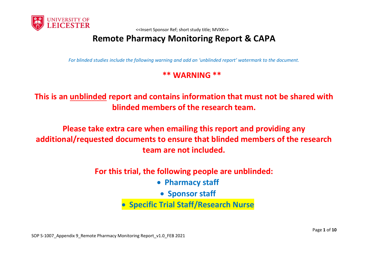

# **Remote Pharmacy Monitoring Report & CAPA**

*For blinded studies include the following warning and add an 'unblinded report' watermark to the document.*

# **\*\* WARNING \*\***

**This is an unblinded report and contains information that must not be shared with blinded members of the research team.**

**Please take extra care when emailing this report and providing any additional/requested documents to ensure that blinded members of the research team are not included.**

**For this trial, the following people are unblinded:**

**Pharmacy staff**

**• Sponsor staff** 

**Specific Trial Staff/Research Nurse**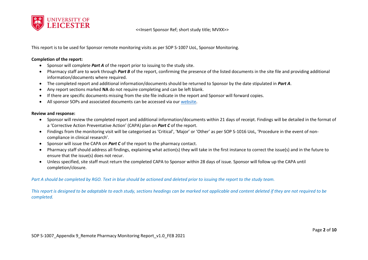

This report is to be used for Sponsor remote monitoring visits as per SOP S-1007 UoL, Sponsor Monitoring.

#### **Completion of the report:**

- Sponsor will complete *Part A* of the report prior to issuing to the study site.
- Pharmacy staff are to work through *Part B* of the report, confirming the presence of the listed documents in the site file and providing additional information/documents where required.
- The completed report and additional information/documents should be returned to Sponsor by the date stipulated in *Part A*.
- Any report sections marked **NA** do not require completing and can be left blank.
- If there are specific documents missing from the site file indicate in the report and Sponsor will forward copies.
- All sponsor SOPs and associated documents can be accessed via ou[r website.](https://le.ac.uk/research/regi/standard-operating-procedures)

#### **Review and response:**

- Sponsor will review the completed report and additional information/documents within 21 days of receipt. Findings will be detailed in the format of a 'Corrective Action Preventative Action' (CAPA) plan on *Part C* of the report.
- Findings from the monitoring visit will be categorised as 'Critical', 'Major' or 'Other' as per SOP S-1016 UoL, 'Procedure in the event of noncompliance in clinical research'.
- Sponsor will issue the CAPA on *Part C* of the report to the pharmacy contact.
- Pharmacy staff should address all findings, explaining what action(s) they will take in the first instance to correct the issue(s) and in the future to ensure that the issue(s) does not recur.
- Unless specified, site staff must return the completed CAPA to Sponsor within 28 days of issue. Sponsor will follow up the CAPA until completion/closure.

#### *Part A should be completed by RGO. Text in blue should be actioned and deleted prior to issuing the report to the study team.*

*This report is designed to be adaptable to each study, sections headings can be marked not applicable and content deleted if they are not required to be completed.*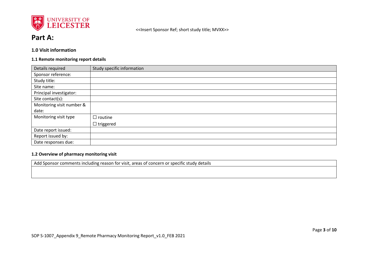

# **Part A:**

# **1.0 Visit information**

#### **1.1 Remote monitoring report details**

| Details required          | Study specific information |
|---------------------------|----------------------------|
| Sponsor reference:        |                            |
| Study title:              |                            |
| Site name:                |                            |
| Principal investigator:   |                            |
| Site contact(s):          |                            |
| Monitoring visit number & |                            |
| date:                     |                            |
| Monitoring visit type     | $\Box$ routine             |
|                           | $\Box$ triggered           |
| Date report issued:       |                            |
| Report issued by:         |                            |
| Date responses due:       |                            |

#### **1.2 Overview of pharmacy monitoring visit**

Add Sponsor comments including reason for visit, areas of concern or specific study details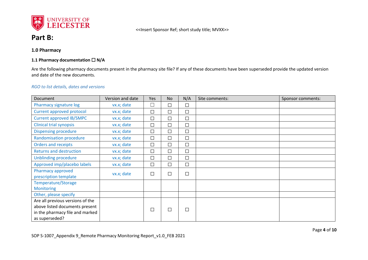

# **Part B:**

**1.0 Pharmacy** 

#### **1.1 Pharmacy documentation** ☐ **N/A**

Are the following pharmacy documents present in the pharmacy site file? If any of these documents have been superseded provide the updated version and date of the new documents.

#### *RGO to list details, dates and versions*

| Document                                   | Version and date | Yes    | <b>No</b> | N/A    | Site comments: | Sponsor comments: |
|--------------------------------------------|------------------|--------|-----------|--------|----------------|-------------------|
| Pharmacy signature log                     | vx.x; date       | $\Box$ | $\Box$    | $\Box$ |                |                   |
| Current approved protocol                  | vx.x; date       | $\Box$ | $\Box$    | $\Box$ |                |                   |
| <b>Current approved IB/SMPC</b>            | vx.x; date       | $\Box$ | $\Box$    | $\Box$ |                |                   |
| <b>Clinical trial synopsis</b>             | vx.x; date       | $\Box$ | $\Box$    | $\Box$ |                |                   |
| <b>Dispensing procedure</b>                | vx.x; date       | $\Box$ | $\Box$    | $\Box$ |                |                   |
| <b>Randomisation procedure</b>             | vx.x; date       | $\Box$ | $\Box$    | $\Box$ |                |                   |
| <b>Orders and receipts</b>                 | vx.x; date       | $\Box$ | $\Box$    | $\Box$ |                |                   |
| <b>Returns and destruction</b>             | vx.x; date       | $\Box$ | $\Box$    | $\Box$ |                |                   |
| <b>Unblinding procedure</b>                | vx.x; date       | $\Box$ | $\Box$    | $\Box$ |                |                   |
| Approved imp/placebo labels                | vx.x; date       | $\Box$ | $\Box$    | $\Box$ |                |                   |
| Pharmacy approved<br>prescription template | vx.x; date       | $\Box$ | $\Box$    | $\Box$ |                |                   |
| Temperature/Storage                        |                  |        |           |        |                |                   |
| <b>Monitoring</b>                          |                  |        |           |        |                |                   |
| Other, please specify                      |                  |        |           |        |                |                   |
| Are all previous versions of the           |                  |        |           |        |                |                   |
| above listed documents present             |                  | $\Box$ | □         | $\Box$ |                |                   |
| in the pharmacy file and marked            |                  |        |           |        |                |                   |
| as superseded?                             |                  |        |           |        |                |                   |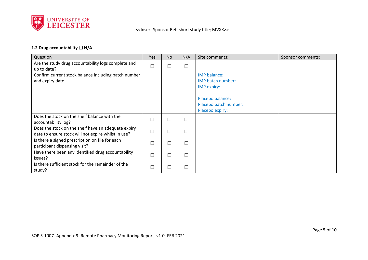

# **1.2 Drug accountability** ☐ **N/A**

| Question                                                                                                   | <b>Yes</b> | <b>No</b> | N/A    | Site comments:                                                                                                                 | Sponsor comments: |
|------------------------------------------------------------------------------------------------------------|------------|-----------|--------|--------------------------------------------------------------------------------------------------------------------------------|-------------------|
| Are the study drug accountability logs complete and<br>up to date?                                         | $\Box$     | □         | $\Box$ |                                                                                                                                |                   |
| Confirm current stock balance including batch number<br>and expiry date                                    |            |           |        | <b>IMP</b> balance:<br><b>IMP batch number:</b><br>IMP expiry:<br>Placebo balance:<br>Placebo batch number:<br>Placebo expiry: |                   |
| Does the stock on the shelf balance with the<br>accountability log?                                        | П          | П         | $\Box$ |                                                                                                                                |                   |
| Does the stock on the shelf have an adequate expiry<br>date to ensure stock will not expire whilst in use? | $\Box$     | П         | $\Box$ |                                                                                                                                |                   |
| Is there a signed prescription on file for each<br>participant dispensing visit?                           | $\Box$     | П         | $\Box$ |                                                                                                                                |                   |
| Have there been any identified drug accountability<br>issues?                                              | $\Box$     | П         | $\Box$ |                                                                                                                                |                   |
| Is there sufficient stock for the remainder of the<br>study?                                               | $\Box$     | □         | $\Box$ |                                                                                                                                |                   |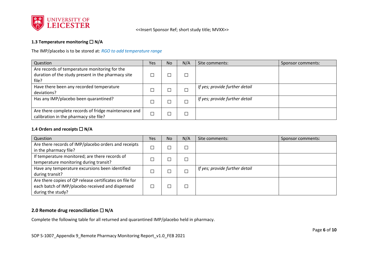

## **1.3 Temperature monitoring** ☐ **N/A**

The IMP/placebo is to be stored at: *RGO to add temperature range*

| Question                                                                                                     | <b>Yes</b> | <b>No</b> | N/A | Site comments:                 | Sponsor comments: |
|--------------------------------------------------------------------------------------------------------------|------------|-----------|-----|--------------------------------|-------------------|
| Are records of temperature monitoring for the<br>duration of the study present in the pharmacy site<br>file? |            |           | □   |                                |                   |
| Have there been any recorded temperature<br>deviations?                                                      |            |           |     | If yes; provide further detail |                   |
| Has any IMP/placebo been quarantined?                                                                        |            |           |     | If yes; provide further detail |                   |
| Are there complete records of fridge maintenance and<br>calibration in the pharmacy site file?               |            |           |     |                                |                   |

#### **1.4 Orders and receipts** ☐ **N/A**

| Question                                                | <b>Yes</b> | <b>No</b> | N/A                      | Site comments:                 | Sponsor comments: |
|---------------------------------------------------------|------------|-----------|--------------------------|--------------------------------|-------------------|
| Are there records of IMP/placebo orders and receipts    |            |           |                          |                                |                   |
| in the pharmacy file?                                   |            |           |                          |                                |                   |
| If temperature monitored; are there records of          |            |           |                          |                                |                   |
| temperature monitoring during transit?                  |            |           |                          |                                |                   |
| Have any temperature excursions been identified         |            |           |                          | If yes; provide further detail |                   |
| during transit?                                         |            |           |                          |                                |                   |
| Are there copies of QP release certificates on file for |            |           |                          |                                |                   |
| each batch of IMP/placebo received and dispensed        |            |           | $\overline{\phantom{0}}$ |                                |                   |
| during the study?                                       |            |           |                          |                                |                   |

### **2.0 Remote drug reconciliation** ☐ **N/A**

Complete the following table for all returned and quarantined IMP/placebo held in pharmacy.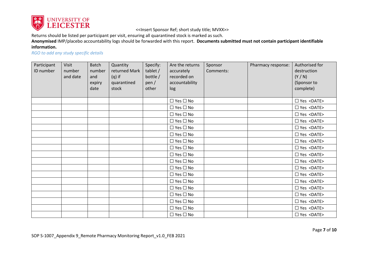

Returns should be listed per participant per visit, ensuring all quarantined stock is marked as such.

**Anonymised** IMP/placebo accountability logs should be forwarded with this report. **Documents submitted must not contain participant identifiable information.** 

*RGO to add any study specific details* 

| Participant<br>ID number | <b>Visit</b><br>number<br>and date | <b>Batch</b><br>number<br>and<br>expiry<br>date | Quantity<br>returned Mark<br>$(q)$ if<br>quarantined<br>stock | Specify:<br>tablet /<br>bottle /<br>pen/<br>other | Are the returns<br>accurately<br>recorded on<br>accountability<br>log | Sponsor<br>Comments: | Pharmacy response: | Authorised for<br>destruction<br>(Y/N)<br>(Sponsor to<br>complete) |
|--------------------------|------------------------------------|-------------------------------------------------|---------------------------------------------------------------|---------------------------------------------------|-----------------------------------------------------------------------|----------------------|--------------------|--------------------------------------------------------------------|
|                          |                                    |                                                 |                                                               |                                                   | $\Box$ Yes $\Box$ No                                                  |                      |                    | $\square$ Yes <date></date>                                        |
|                          |                                    |                                                 |                                                               |                                                   | $\Box$ Yes $\Box$ No                                                  |                      |                    | $\square$ Yes <date></date>                                        |
|                          |                                    |                                                 |                                                               |                                                   | $\Box$ Yes $\Box$ No                                                  |                      |                    | $\square$ Yes <date></date>                                        |
|                          |                                    |                                                 |                                                               |                                                   | $\Box$ Yes $\Box$ No                                                  |                      |                    | $\square$ Yes <date></date>                                        |
|                          |                                    |                                                 |                                                               |                                                   | $\Box$ Yes $\Box$ No                                                  |                      |                    | $\square$ Yes <date></date>                                        |
|                          |                                    |                                                 |                                                               |                                                   | $\Box$ Yes $\Box$ No                                                  |                      |                    | $\square$ Yes <date></date>                                        |
|                          |                                    |                                                 |                                                               |                                                   | $\Box$ Yes $\Box$ No                                                  |                      |                    | $\square$ Yes <date></date>                                        |
|                          |                                    |                                                 |                                                               |                                                   | $\Box$ Yes $\Box$ No                                                  |                      |                    | $\square$ Yes <date></date>                                        |
|                          |                                    |                                                 |                                                               |                                                   | $\Box$ Yes $\Box$ No                                                  |                      |                    | $\square$ Yes <date></date>                                        |
|                          |                                    |                                                 |                                                               |                                                   | $\Box$ Yes $\Box$ No                                                  |                      |                    | $\square$ Yes <date></date>                                        |
|                          |                                    |                                                 |                                                               |                                                   | $\Box$ Yes $\Box$ No                                                  |                      |                    | $\square$ Yes <date></date>                                        |
|                          |                                    |                                                 |                                                               |                                                   | $\Box$ Yes $\Box$ No                                                  |                      |                    | $\square$ Yes <date></date>                                        |
|                          |                                    |                                                 |                                                               |                                                   | $\Box$ Yes $\Box$ No                                                  |                      |                    | $\square$ Yes <date></date>                                        |
|                          |                                    |                                                 |                                                               |                                                   | $\Box$ Yes $\Box$ No                                                  |                      |                    | $\square$ Yes <date></date>                                        |
|                          |                                    |                                                 |                                                               |                                                   | $\Box$ Yes $\Box$ No                                                  |                      |                    | $\square$ Yes <date></date>                                        |
|                          |                                    |                                                 |                                                               |                                                   | $\Box$ Yes $\Box$ No                                                  |                      |                    | $\square$ Yes <date></date>                                        |
|                          |                                    |                                                 |                                                               |                                                   | $\square$ Yes $\square$ No                                            |                      |                    | $\square$ Yes <date></date>                                        |
|                          |                                    |                                                 |                                                               |                                                   | $\Box$ Yes $\Box$ No                                                  |                      |                    | $\square$ Yes <date></date>                                        |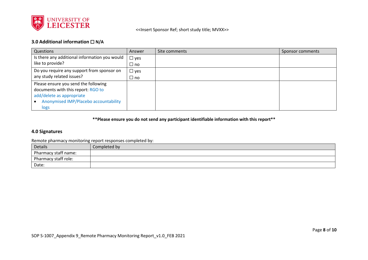

## **3.0 Additional information** ☐ **N/A**

| Questions                                     | Answer        | Site comments | Sponsor comments |
|-----------------------------------------------|---------------|---------------|------------------|
| Is there any additional information you would | $\square$ yes |               |                  |
| like to provide?                              | $\square$ no  |               |                  |
| Do you require any support from sponsor on    | $\Box$ yes    |               |                  |
| any study related issues?                     | $\square$ no  |               |                  |
| Please ensure you send the following          |               |               |                  |
| documents with this report: RGO to            |               |               |                  |
| add/delete as appropriate                     |               |               |                  |
| Anonymised IMP/Placebo accountability         |               |               |                  |
| logs                                          |               |               |                  |

## **\*\*Please ensure you do not send any participant identifiable information with this report\*\***

#### **4.0 Signatures**

Remote pharmacy monitoring report responses completed by:

| Details              | Completed by |
|----------------------|--------------|
| Pharmacy staff name: |              |
| Pharmacy staff role: |              |
| Date:                |              |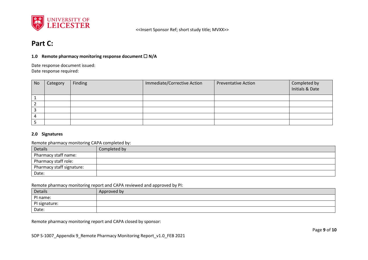

# **Part C:**

#### **1.0** Remote pharmacy monitoring response document □ N/A

Date response document issued: Date response required:

| <b>No</b> | Category | Finding | Immediate/Corrective Action | <b>Preventative Action</b> | Completed by<br>Initials & Date |
|-----------|----------|---------|-----------------------------|----------------------------|---------------------------------|
|           |          |         |                             |                            |                                 |
|           |          |         |                             |                            |                                 |
|           |          |         |                             |                            |                                 |
| 4         |          |         |                             |                            |                                 |
|           |          |         |                             |                            |                                 |

#### **2.0 Signatures**

Remote pharmacy monitoring CAPA completed by:

| Details                   | Completed by |
|---------------------------|--------------|
| Pharmacy staff name:      |              |
| Pharmacy staff role:      |              |
| Pharmacy staff signature: |              |
| Date:                     |              |

#### Remote pharmacy monitoring report and CAPA reviewed and approved by PI:

| Details       | Approved by |
|---------------|-------------|
| PI name:      |             |
| PI signature: |             |
| Date:         |             |

Remote pharmacy monitoring report and CAPA closed by sponsor: